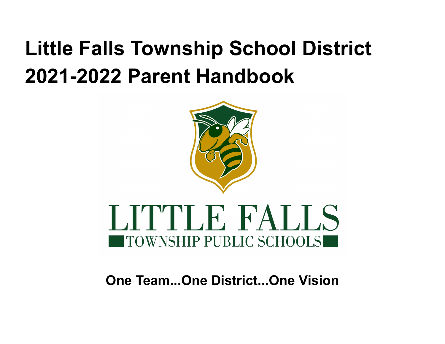# **Little Falls Township School District 2021-2022 Parent Handbook**



# LITTLE FALLS ITOWNSHIP PUBLIC SCHOOLS

# **One Team...One District...One Vision**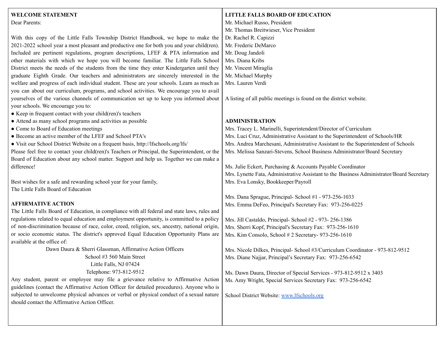#### **WELCOME STATEMENT** Dear Parents: With this copy of the Little Falls Township District Handbook, we hope to make the 2021-2022 school year a most pleasant and productive one for both you and your child(ren). Included are pertinent regulations, program descriptions, LFEF & PTA information and other materials with which we hope you will become familiar. The Little Falls School District meets the needs of the students from the time they enter Kindergarten until they graduate Eighth Grade. Our teachers and administrators are sincerely interested in the welfare and progress of each individual student. These are your schools. Learn as much as you can about our curriculum, programs, and school activities. We encourage you to avail yourselves of the various channels of communication set up to keep you informed about your schools. We encourage you to: ● Keep in frequent contact with your child(ren)'s teachers ● Attend as many school programs and activities as possible ● Come to Board of Education meetings ● Become an active member of the LFEF and School PTA's ● Visit our School District Website on a frequent basis, http://lfschools.org/lfs/ Please feel free to contact your child(ren)'s Teachers or Principal, the Superintendent, or the Board of Education about any school matter. Support and help us. Together we can make a difference! Best wishes for a safe and rewarding school year for your family, The Little Falls Board of Education **AFFIRMATIVE ACTION** The Little Falls Board of Education, in compliance with all federal and state laws, rules and regulations related to equal education and employment opportunity, is committed to a policy of non-discrimination because of race, color, creed, religion, sex, ancestry, national origin, or socio economic status. The district's approved Equal Education Opportunity Plans are available at the office of: Dawn Daura & Sherri Glassman, Affirmative Action Officers School #3 560 Main Street Little Falls, NJ 07424 Telephone: 973-812-9512 Any student, parent or employee may file a grievance relative to Affirmative Action guidelines (contact the Affirmative Action Officer for detailed procedures). Anyone who is subjected to unwelcome physical advances or verbal or physical conduct of a sexual nature should contact the Affirmative Action Officer. **LITTLE FALLS BOARD OF EDUCATION** Mr. Michael Russo, President Mr. Thomas Breitwieser, Vice President Dr. Rachel R. Capizzi Mr. Frederic DeMarco Mr. Doug Jandoli Mrs. Diana Kribs Mr. Vincent Miraglia Mr. Michael Murphy Mrs. Lauren Verdi A listing of all public meetings is found on the district website. **ADMINISTRATION** Mrs. Tracey L. Marinelli, Superintendent/Director of Curriculum Mrs. Luci Cruz, Administrative Assistant to the Superintendent of Schools/HR Mrs. Andrea Marchesani, Administrative Assistant to the Superintendent of Schools Mrs. Melissa Sanzari-Stevens, School Business Administrator/Board Secretary Ms. Julie Eckert, Purchasing & Accounts Payable Coordinator Mrs. Lynette Fata, Administrative Assistant to the Business Administrator/Board Secretary Mrs. Eva Lonsky, Bookkeeper/Payroll Mrs. Dana Sprague, Principal- School #1 - 973-256-1033 Mrs. Emma DeFeo, Principal's Secretary Fax: 973-256-0225 Mrs. Jill Castaldo, Principal- School #2 - 973- 256-1386 Mrs. Sherri Kopf, Principal's Secretary Fax: 973-256-1610 Mrs. Kim Consolo, School # 2 Secretary- 973-256-1610 Mrs. Nicole Dilkes, Principal- School #3/Curriculum Coordinator - 973-812-9512 Mrs. Diane Najjar, Principal's Secretary Fax: 973-256-6542 Ms. Dawn Daura, Director of Special Services - 973-812-9512 x 3403 Ms. Amy Wright, Special Services Secretary Fax: 973-256-6542 School District Website: [www.lfschools.org](http://www.lfschools.org)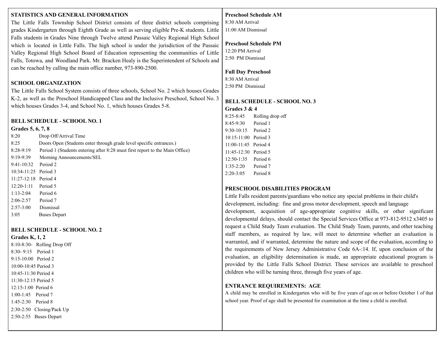# **STATISTICS AND GENERAL INFORMATION**

The Little Falls Township School District consists of three district schools comprising grades Kindergarten through Eighth Grade as well as serving eligible Pre-K students. Little Falls students in Grades Nine through Twelve attend Passaic Valley Regional High School which is located in Little Falls. The high school is under the jurisdiction of the Passaic Valley Regional High School Board of Education representing the communities of Little Falls, Totowa, and Woodland Park. Mr. Bracken Healy is the Superintendent of Schools and can be reached by calling the main office number, 973-890-2500.

#### **SCHOOL ORGANIZATION**

The Little Falls School System consists of three schools, School No. 2 which houses Grades K-2, as well as the Preschool Handicapped Class and the Inclusive Preschool, School No. 3 which houses Grades 3-4, and School No. 1, which houses Grades 5-8.

# **BELL SCHEDULE - SCHOOL NO. 1**

#### **Grades 5, 6, 7, 8**

| 8:20                   | Drop Off/Arrival Time                                                        |
|------------------------|------------------------------------------------------------------------------|
| 8:25                   | Doors Open (Students enter through grade level specific entrances.)          |
| $8:28-9:19$            | Period 1 (Students entering after 8:28 must first report to the Main Office) |
| $9:19-9:39$            | Morning Announcements/SEL                                                    |
| $9:41-10:32$           | Period 2                                                                     |
| $10:34-11:25$ Period 3 |                                                                              |
| $11:27-12:18$ Period 4 |                                                                              |
| $12:20-1:11$           | Period 5                                                                     |
| $1:13-2:04$            | Period 6                                                                     |
| $2:06 - 2:57$          | Period 7                                                                     |
| $2:57-3:00$            | Dismissal                                                                    |

3:05 Buses Depart

# **BELL SCHEDULE - SCHOOL NO. 2**

#### **Grades K, 1, 2**

8:10-8:30- Rolling Drop Off 8:30- 9:15 Period 1 9:15-10:00 Period 2 10:00-10:45 Period 3 10:45-11:30 Period 4 11:30-12:15 Period 5 12:15-1:00 Period 6 1:00-1:45 Period 7 1:45-2:30 Period 8 2:30-2:50 Closing/Pack Up 2:50-2:55 Buses Depart

# **Preschool Schedule AM**

8:30 AM Arrival 11:00 AM Dismissal

#### **Preschool Schedule PM**

12:20 PM Arrival 2:50 PM Dismissal

#### **Full Day Preschool**

8:30 AM Arrival 2:50 PM Dismissal

#### **BELL SCHEDULE - SCHOOL NO. 3**

#### **Grades 3 & 4**

8:25-8:45 Rolling drop off 8:45-9:30 Period 1 9:30-10:15 Period 2 10:15-11:00 Period 3 11:00-11:45 Period 4 11:45-12:30 Period 5 12:50-1:35 Period 6 1:35-2:20 Period 7 2:20-3:05 Period 8

# **PRESCHOOL DISABILITIES PROGRAM**

Little Falls resident parents/guardians who notice any special problems in their child's development, including: fine and gross motor development, speech and language development, acquisition of age-appropriate cognitive skills, or other significant developmental delays, should contact the Special Services Office at 973-812-9512 x3405 to request a Child Study Team evaluation. The Child Study Team, parents, and other teaching staff members, as required by law, will meet to determine whether an evaluation is warranted, and if warranted, determine the nature and scope of the evaluation, according to the requirements of New Jersey Administrative Code 6A-:14. If, upon conclusion of the evaluation, an eligibility determination is made, an appropriate educational program is provided by the Little Falls School District. These services are available to preschool children who will be turning three, through five years of age.

# **ENTRANCE REQUIREMENTS: AGE**

A child may be enrolled in Kindergarten who will be five years of age on or before October 1 of that school year. Proof of age shall be presented for examination at the time a child is enrolled.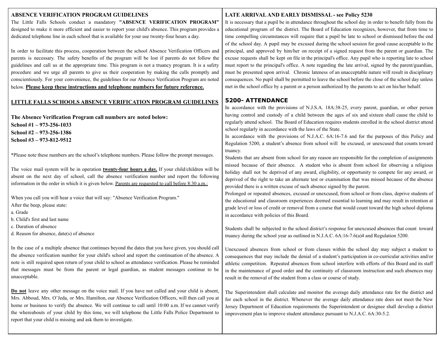#### **ABSENCE VERIFICATION PROGRAM GUIDELINES**

The Little Falls Schools conduct a mandatory **"ABSENCE VERIFICATION PROGRAM"** designed to make it more efficient and easier to report your child's absence. This program provides a dedicated telephone line in each school that is available for your use twenty-four hours a day.

In order to facilitate this process, cooperation between the school Absence Verification Officers and parents is necessary. The safety benefits of the program will be lost if parents do not follow the guidelines and call us at the appropriate time. This program is not a truancy program. It is a safety procedure and we urge all parents to give us their cooperation by making the calls promptly and conscientiously. For your convenience, the guidelines for our Absence Verification Program are noted below. **Please keep these instructions and telephone numbers for future reference.**

#### **LITTLE FALLS SCHOOLS ABSENCE VERIFICATION PROGRAM GUIDELINES**

**The Absence Verification Program call numbers are noted below: School #1 – 973-256-1033 School #2 – 973-256-1386 School #3 – 973-812-9512**

\*Please note these numbers are the school's telephone numbers. Please follow the prompt messages.

The voice mail system will be in operation **twenty-four hours a day.** If your child/children will be absent on the next day of school, call the absence verification number and report the following information in the order in which it is given below. Parents are requested to call before 8:30 a.m.:

When you call you will hear a voice that will say: "Absence Verification Program." After the beep, please state:

a. Grade

- b. Child's first and last name
- c. Duration of absence
- d. Reason for absence, date(s) of absence

In the case of a multiple absence that continues beyond the dates that you have given, you should call the absence verification number for your child's school and report the continuation of the absence. A note is still required upon return of your child to school as attendance verification. Please be reminded that messages must be from the parent or legal guardian, as student messages continue to be unacceptable.

**Do not** leave any other message on the voice mail. If you have not called and your child is absent, Mrs. Abboud, Mrs. O'Jeda, or Mrs. Hamilton, our Absence Verification Officers, will then call you at home or business to verify the absence. We will continue to call until 10:00 a.m. If we cannot verify the whereabouts of your child by this time, we will telephone the Little Falls Police Department to report that your child is missing and ask them to investigate.

#### **LATE ARRIVALAND EARLY DISMISSAL - see Policy 5230**

It is necessary that a pupil be in attendance throughout the school day in order to benefit fully from the educational program of the district. The Board of Education recognizes, however, that from time to time compelling circumstances will require that a pupil be late to school or dismissed before the end of the school day. A pupil may be excused during the school session for good cause acceptable to the principal, and approved by him/her on receipt of a signed request from the parent or guardian. The excuse requests shall be kept on file in the principal's office. Any pupil who is reporting late to school must report to the principal's office. A note regarding the late arrival, signed by the parent/guardian, must be presented upon arrival. Chronic lateness of an unacceptable nature will result in disciplinary consequences. No pupil shall be permitted to leave the school before the close of the school day unless met in the school office by a parent or a person authorized by the parents to act on his/her behalf.

#### **5200- ATTENDANCE**

In accordance with the provisions of N.J.S.A. 18A:38-25, every parent, guardian, or other person having control and custody of a child between the ages of six and sixteen shall cause the child to regularly attend school. The Board of Education requires students enrolled in the school district attend school regularly in accordance with the laws of the State.

In accordance with the provisions of N.J.A.C. 6A:16-7.6 and for the purposes of this Policy and Regulation 5200, a student's absence from school will be excused, or unexcused that counts toward truancy.

Students that are absent from school for any reason are responsible for the completion of assignments missed because of their absence. A student who is absent from school for observing a religious holiday shall not be deprived of any award, eligibility, or opportunity to compete for any award, or deprived of the right to take an alternate test or examination that was missed because of the absence provided there is a written excuse of such absence signed by the parent.

Prolonged or repeated absences, excused or unexcused, from school or from class, deprive students of the educational and classroom experiences deemed essential to learning and may result in retention at grade level or loss of credit or removal from a course that would count toward the high school diploma in accordance with policies of this Board.

Students shall be subjected to the school district's response for unexcused absences that count toward truancy during the school year as outlined in N.J.A.C. 6A:16-7.6(a)4 and Regulation 5200.

Unexcused absences from school or from classes within the school day may subject a student to consequences that may include the denial of a student's participation in co-curricular activities and/or athletic competition. Repeated absences from school interfere with efforts of this Board and its staff in the maintenance of good order and the continuity of classroom instruction and such absences may result in the removal of the student from a class or course of study.

The Superintendent shall calculate and monitor the average daily attendance rate for the district and for each school in the district. Whenever the average daily attendance rate does not meet the New Jersey Department of Education requirements the Superintendent or designee shall develop a district improvement plan to improve student attendance pursuant to N.J.A.C. 6A:30-5.2.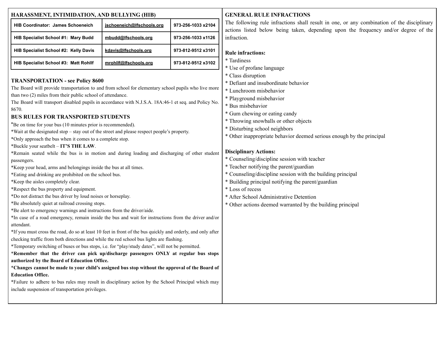| HARASSMENT, INTIMIDATION, AND BULLYING (HIB) |                           |                    |  |  |
|----------------------------------------------|---------------------------|--------------------|--|--|
| <b>HIB Coordinator: James Schoeneich</b>     | jschoeneich@lfschools.org | 973-256-1033 x2104 |  |  |
| HIB Specialist School #1: Mary Budd          | mbudd@lfschools.org       | 973-256-1033 x1126 |  |  |
| HIB Specialist School #2: Kelly Davis        | kdavis@lfschools.org      | 973-812-9512 x3101 |  |  |
| <b>HIB Specialist School #3: Matt Rohllf</b> | mrohllf@lfschools.org     | 973-812-9512 x3102 |  |  |

# **TRANSPORTATION - see Policy 8600**

The Board will provide transportation to and from school for elementary school pupils who live more than two (2) miles from their public school of attendance.

The Board will transport disabled pupils in accordance with N.J.S.A. 18A:46-1 et seq. and Policy No. 8670.

# **BUS RULES FOR TRANSPORTED STUDENTS**

\*Be on time for your bus (10 minutes prior is recommended).

- \*Wait at the designated stop stay out of the street and please respect people's property.
- \*Only approach the bus when it comes to a complete stop.

\*Buckle your seatbelt – **IT'S THE LAW**.

- \*Remain seated while the bus is in motion and during loading and discharging of other student passengers.
- \*Keep your head, arms and belongings inside the bus at all times.
- \*Eating and drinking are prohibited on the school bus.
- \*Keep the aisles completely clear.
- \*Respect the bus property and equipment.
- \*Do not distract the bus driver by loud noises or horseplay.
- \*Be absolutely quiet at railroad crossing stops.
- \*Be alert to emergency warnings and instructions from the driver/aide.
- \*In case of a road emergency, remain inside the bus and wait for instructions from the driver and/or attendant.
- \*If you must cross the road, do so at least 10 feet in front of the bus quickly and orderly, and only after checking traffic from both directions and while the red school bus lights are flashing.

\*Temporary switching of buses or bus stops, i.e. for "play/study dates", will not be permitted.

\***Remember that the driver can pick up/discharge passengers ONLY at regular bus stops authorized by the Board of Education Office.**

# \***Changes cannot be made to your child's assigned bus stop without the approval of the Board of Education Office.**

\*Failure to adhere to bus rules may result in disciplinary action by the School Principal which may include suspension of transportation privileges.

# **GENERAL RULE INFRACTIONS**

The following rule infractions shall result in one, or any combination of the disciplinary actions listed below being taken, depending upon the frequency and/or degree of the infraction.

# **Rule infractions:**

- \* Tardiness
- \* Use of profane language
- \* Class disruption
- \* Defiant and insubordinate behavior
- \* Lunchroom misbehavior
- \* Playground misbehavior
- \* Bus misbehavior
- \* Gum chewing or eating candy
- \* Throwing snowballs or other objects
- \* Disturbing school neighbors
- \* Other inappropriate behavior deemed serious enough by the principal

# **Disciplinary Actions:**

- \* Counseling/discipline session with teacher
- \* Teacher notifying the parent/guardian
- \* Counseling/discipline session with the building principal
- \* Building principal notifying the parent/guardian
- \* Loss of recess
- \* After School Administrative Detention
- \* Other actions deemed warranted by the building principal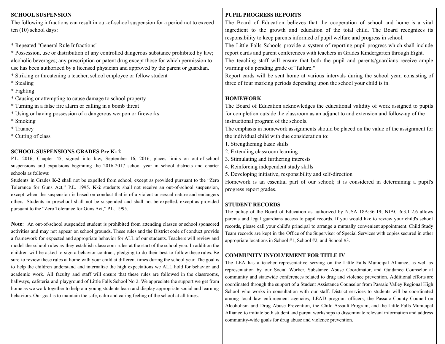# **SCHOOL SUSPENSION**

The following infractions can result in out-of-school suspension for a period not to exceed ten (10) school days:

\* Repeated "General Rule Infractions"

\* Possession, use or distribution of any controlled dangerous substance prohibited by law; alcoholic beverages; any prescription or patent drug except those for which permission to use has been authorized by a licensed physician and approved by the parent or guardian.

\* Striking or threatening a teacher, school employee or fellow student

- \* Stealing
- \* Fighting
- \* Causing or attempting to cause damage to school property
- \* Turning in a false fire alarm or calling in a bomb threat
- \* Using or having possession of a dangerous weapon or fireworks
- \* Smoking
- \* Truancy
- \* Cutting of class

# **SCHOOL SUSPENSIONS GRADES Pre K- 2**

P.L. 2016, Chapter 45, signed into law, September 16, 2016, places limits on out-of-school suspensions and expulsions beginning the 2016-2017 school year in school districts and charter schools as follows:

Students in Grades **K-2** shall not be expelled from school, except as provided pursuant to the "Zero Tolerance for Guns Act," P.L. 1995. **K-2** students shall not receive an out-of-school suspension, except when the suspension is based on conduct that is of a violent or sexual nature and endangers others. Students in preschool shall not be suspended and shall not be expelled, except as provided pursuant to the "Zero Tolerance for Guns Act," P.L. 1995.

**Note**: An out-of-school suspended student is prohibited from attending classes or school sponsored activities and may not appear on school grounds. These rules and the District code of conduct provide a framework for expected and appropriate behavior for ALL of our students. Teachers will review and model the school rules as they establish classroom rules at the start of the school year. In addition the children will be asked to sign a behavior contract, pledging to do their best to follow these rules. Be sure to review these rules at home with your child at different times during the school year. The goal is to help the children understand and internalize the high expectations we ALL hold for behavior and academic work. All faculty and staff will ensure that these rules are followed in the classrooms, hallways, cafeteria and playground of Little Falls School No 2. We appreciate the support we get from home as we work together to help our young students learn and display appropriate social and learning behaviors. Our goal is to maintain the safe, calm and caring feeling of the school at all times.

# **PUPIL PROGRESS REPORTS**

The Board of Education believes that the cooperation of school and home is a vital ingredient to the growth and education of the total child. The Board recognizes its responsibility to keep parents informed of pupil welfare and progress in school.

The Little Falls Schools provide a system of reporting pupil progress which shall include report cards and parent conferences with teachers in Grades Kindergarten through Eight.

The teaching staff will ensure that both the pupil and parents/guardians receive ample warning of a pending grade of "failure."

Report cards will be sent home at various intervals during the school year, consisting of three of four marking periods depending upon the school your child is in.

# **HOMEWORK**

The Board of Education acknowledges the educational validity of work assigned to pupils for completion outside the classroom as an adjunct to and extension and follow-up of the instructional program of the schools.

The emphasis in homework assignments should be placed on the value of the assignment for the individual child with due consideration to:

- 1. Strengthening basic skills
- 2. Extending classroom learning
- 3. Stimulating and furthering interests
- 4. Reinforcing independent study skills

5. Developing initiative, responsibility and self-direction

Homework is an essential part of our school; it is considered in determining a pupil's progress report grades.

# **STUDENT RECORDS**

The policy of the Board of Education as authorized by NJSA 18A:36-19; NJAC 6:3.1-2.6 allows parents and legal guardians access to pupil records. If you would like to review your child's school records, please call your child's principal to arrange a mutually convenient appointment. Child Study Team records are kept in the Office of the Supervisor of Special Services with copies secured in other appropriate locations in School #1, School #2, and School #3.

# **COMMUNITY INVOLVEMENT FOR TITLE IV**

The LEA has a teacher representative serving on the Little Falls Municipal Alliance, as well as representation by our Social Worker, Substance Abuse Coordinator, and Guidance Counselor at community and statewide conferences related to drug and violence prevention. Additional efforts are coordinated through the support of a Student Assistance Counselor from Passaic Valley Regional High School who works in consultation with our staff. District services to students will be coordinated among local law enforcement agencies, LEAD program officers, the Passaic County Council on Alcoholism and Drug Abuse Prevention, the Child Assault Program, and the Little Falls Municipal Alliance to initiate both student and parent workshops to disseminate relevant information and address community-wide goals for drug abuse and violence prevention.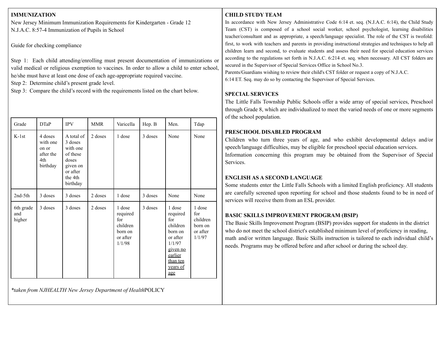# **IMMUNIZATION**

New Jersey Minimum Immunization Requirements for Kindergarten - Grade 12 N.J.A.C. 8:57-4 Immunization of Pupils in School

Guide for checking compliance

Step 1: Each child attending/enrolling must present documentation of immunizations or valid medical or religious exemption to vaccines. In order to allow a child to enter school, he/she must have at least one dose of each age-appropriate required vaccine.

Step 2: Determine child's present grade level.

Step 3: Compare the child's record with the requirements listed on the chart below.

| Grade                      | <b>DTaP</b>                                                  | <b>IPV</b>                                                                                            | <b>MMR</b> | Varicella                                                              | Hep. B  | Men.                                                                                                                         | Tdap                                                       |
|----------------------------|--------------------------------------------------------------|-------------------------------------------------------------------------------------------------------|------------|------------------------------------------------------------------------|---------|------------------------------------------------------------------------------------------------------------------------------|------------------------------------------------------------|
| $K-1st$                    | 4 doses<br>with one<br>on or<br>after the<br>4th<br>birthday | A total of<br>3 doses<br>with one<br>of these<br>doses<br>given on<br>or after<br>the 4th<br>birthday | 2 doses    | 1 dose                                                                 | 3 doses | None                                                                                                                         | None                                                       |
| $2nd-5th$                  | 3 doses                                                      | 3 doses                                                                                               | 2 doses    | 1 dose                                                                 | 3 doses | None                                                                                                                         | None                                                       |
| 6th grade<br>and<br>higher | 3 doses                                                      | 3 doses                                                                                               | 2 doses    | 1 dose<br>required<br>for<br>children<br>born on<br>or after<br>1/1/98 | 3 doses | 1 dose<br>required<br>for<br>children<br>born on<br>or after<br>1/1/97<br>given no<br>earlier<br>than ten<br>years of<br>age | 1 dose<br>for<br>children<br>born on<br>or after<br>1/1/97 |

*\*taken from NJHEALTH New Jersey Department of Health*POLICY

# **CHILD STUDY TEAM**

In accordance with New Jersey Administrative Code 6:14 et. seq. (N.J.A.C. 6:14), the Child Study Team (CST) is composed of a school social worker, school psychologist, learning disabilities teacher/consultant and as appropriate, a speech/language specialist. The role of the CST is twofold: first, to work with teachers and parents in providing instructional strategies and techniques to help all children learn and second, to evaluate students and assess their need for special education services according to the regulations set forth in N.J.A.C. 6:214 et. seq. when necessary. All CST folders are secured in the Supervisor of Special Services Office in School No.3.

Parents/Guardians wishing to review their child's CST folder or request a copy of N.J.A.C. 6:14 ET. Seq. may do so by contacting the Supervisor of Special Services.

# **SPECIAL SERVICES**

The Little Falls Township Public Schools offer a wide array of special services, Preschool through Grade 8, which are individualized to meet the varied needs of one or more segments of the school population.

# **PRESCHOOL DISABLED PROGRAM**

Children who turn three years of age, and who exhibit developmental delays and/or speech/language difficulties, may be eligible for preschool special education services. Information concerning this program may be obtained from the Supervisor of Special Services.

# **ENGLISH AS A SECOND LANGUAGE**

Some students enter the Little Falls Schools with a limited English proficiency. All students are carefully screened upon reporting for school and those students found to be in need of services will receive them from an ESL provider.

# **BASIC SKILLS IMPROVEMENT PROGRAM (BSIP)**

The Basic Skills Improvement Program (BSIP) provides support for students in the district who do not meet the school district's established minimum level of proficiency in reading, math and/or written language. Basic Skills instruction is tailored to each individual child's needs. Programs may be offered before and after school or during the school day.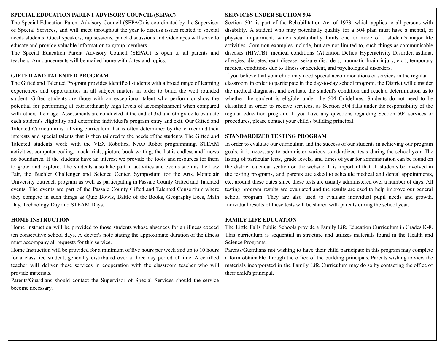#### **SPECIAL EDUCATION PARENT ADVISORY COUNCIL (SEPAC)**

The Special Education Parent Advisory Council (SEPAC) is coordinated by the Supervisor of Special Services, and will meet throughout the year to discuss issues related to special needs students. Guest speakers, rap sessions, panel discussions and videotapes will serve to educate and provide valuable information to group members.

The Special Education Parent Advisory Council (SEPAC) is open to all parents and teachers. Announcements will be mailed home with dates and topics.

# **GIFTED AND TALENTED PROGRAM**

The Gifted and Talented Program provides identified students with a broad range of learning experiences and opportunities in all subject matters in order to build the well rounded student. Gifted students are those with an exceptional talent who perform or show the potential for performing at extraordinarily high levels of accomplishment when compared with others their age. Assessments are conducted at the end of 3rd and 6th grade to evaluate each student's eligibility and determine individual's program entry and exit. Our Gifted and Talented Curriculum is a living curriculum that is often determined by the learner and their interests and special talents that is then tailored to the needs of the students. The Gifted and Talented students work with the VEX Robotics, NAO Robot programming, STEAM activities, computer coding, mock trials, picture book writing, the list is endless and knows no boundaries. If the students have an interest we provide the tools and resources for them to grow and explore. The students also take part in activities and events such as the Law Fair, the Buehler Challenger and Science Center, Symposium for the Arts, Montclair University outreach program as well as participating in Passaic County Gifted and Talented events. The events are part of the Passaic County Gifted and Talented Consortium where they compete in such things as Quiz Bowls, Battle of the Books, Geography Bees, Math Day, Technology Day and STEAM Days.

# **HOME INSTRUCTION**

Home Instruction will be provided to those students whose absences for an illness exceed ten consecutive school days. A doctor's note stating the approximate duration of the illness must accompany all requests for this service.

Home Instruction will be provided for a minimum of five hours per week and up to 10 hours for a classified student, generally distributed over a three day period of time. A certified teacher will deliver these services in cooperation with the classroom teacher who will provide materials.

Parents/Guardians should contact the Supervisor of Special Services should the service become necessary.

# **SERVICES UNDER SECTION 504**

Section 504 is part of the Rehabilitation Act of 1973, which applies to all persons with disability. A student who may potentially qualify for a 504 plan must have a mental, or physical impairment, which substantially limits one or more of a student's major life activities. Common examples include, but are not limited to, such things as communicable diseases (HIV,TB), medical conditions (Attention Deficit Hyperactivity Disorder, asthma, allergies, diabetes,heart disease, seizure disorders, traumatic brain injury, etc.), temporary medical conditions due to illness or accident, and psychological disorders.

If you believe that your child may need special accommodations or services in the regular classroom in order to participate in the day-to-day school program, the District will consider the medical diagnosis, and evaluate the student's condition and reach a determination as to whether the student is eligible under the 504 Guidelines. Students do not need to be classified in order to receive services, as Section 504 falls under the responsibility of the regular education program. If you have any questions regarding Section 504 services or procedures, please contact your child's building principal.

# **STANDARDIZED TESTING PROGRAM**

In order to evaluate our curriculum and the success of our students in achieving our program goals, it is necessary to administer various standardized tests during the school year. The listing of particular tests, grade levels, and times of year for administration can be found on the district calendar section on the website. It is important that all students be involved in the testing programs, and parents are asked to schedule medical and dental appointments, etc. around these dates since these tests are usually administered over a number of days. All testing program results are evaluated and the results are used to help improve our general school program. They are also used to evaluate individual pupil needs and growth. Individual results of these tests will be shared with parents during the school year.

# **FAMILY LIFE EDUCATION**

The Little Falls Public Schools provide a Family Life Education Curriculum in Grades K-8. This curriculum is sequential in structure and utilizes materials found in the Health and Science Programs.

Parents/Guardians not wishing to have their child participate in this program may complete a form obtainable through the office of the building principals. Parents wishing to view the materials incorporated in the Family Life Curriculum may do so by contacting the office of their child's principal.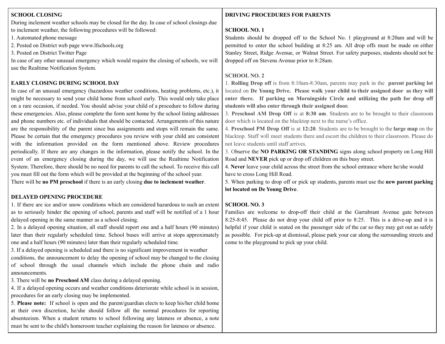# **SCHOOL CLOSING**

During inclement weather schools may be closed for the day. In case of school closings due to inclement weather, the following procedures will be followed:

1. Automated phone message

2. Posted on District web page www.lfschools.org

3. Posted on District Twitter Page

In case of any other unusual emergency which would require the closing of schools, we will use the Realtime Notification System.

# **EARLY CLOSING DURING SCHOOL DAY**

In case of an unusual emergency (hazardous weather conditions, heating problems, etc.), it might be necessary to send your child home from school early. This would only take place on a rare occasion, if needed. You should advise your child of a procedure to follow during these emergencies. Also, please complete the form sent home by the school listing addresses and phone numbers etc. of individuals that should be contacted. Arrangements of this nature are the responsibility of the parent since bus assignments and stops will remain the same. Please be certain that the emergency procedures you review with your child are consistent with the information provided on the form mentioned above. Review procedures periodically. If there are any changes in the information, please notify the school. In the event of an emergency closing during the day, we will use the Realtime Notification System. Therefore, there should be no need for parents to call the school. To receive this call you must fill out the form which will be provided at the beginning of the school year.

There will be **no PM preschool** if there is an early closing **due to inclement weather**.

# **DELAYED OPENING PROCEDURE**

1. If there are ice and/or snow conditions which are considered hazardous to such an extent as to seriously hinder the opening of school, parents and staff will be notified of a 1 hour delayed opening in the same manner as a school closing.

2. In a delayed opening situation, all staff should report one and a half hours (90 minutes) later than their regularly scheduled time. School buses will arrive at stops approximately one and a half hours (90 minutes) later than their regularly scheduled time.

3. If a delayed opening is scheduled and there is no significant improvement in weather conditions, the announcement to delay the opening of school may be changed to the closing of school through the usual channels which include the phone chain and radio announcements.

3. There will be **no Preschool AM** class during a delayed opening.

4. If a delayed opening occurs and weather conditions deteriorate while school is in session, procedures for an early closing may be implemented.

5. **Please note:** If school is open and the parent/guardian elects to keep his/her child home at their own discretion, he/she should follow all the normal procedures for reporting absenteeism. When a student returns to school following any lateness or absence, a note must be sent to the child's homeroom teacher explaining the reason for lateness or absence.

# **DRIVING PROCEDURES FOR PARENTS**

#### **SCHOOL NO. 1**

Students should be dropped off to the School No. 1 playground at 8:20am and will be permitted to enter the school building at 8:25 am. All drop offs must be made on either Stanley Street, Ridge Avenue, or Walnut Street. For safety purposes, students should not be dropped off on Stevens Avenue prior to 8:28am.

## **SCHOOL NO. 2**

1. **Rolling Drop off** is from 8:10am-8:30am, parents may park in the **parent parking lot** located on **De Young Drive. Please walk your child to their assigned door as they will enter there. If parking on Morningside Circle and utilizing the path for drop off students will also enter through their assigned door.**

3. **Preschool AM Drop Off** is at **8:30 am**. Students are to be brought to their classroom door which is located on the blacktop next to the nurse's office.

4. **Preschool PM Drop Off** is at **12:20**. Students are to be brought to the **large map** on the blacktop. Staff will meet students there and escort the children to their classroom. Please do not leave students until staff arrives.

3. Observe the **NO PARKING OR STANDING** signs along school property on Long Hill Road and **NEVER** pick up or drop off children on this busy street.

4. **Never** leave your child across the street from the school entrance where he/she would have to cross Long Hill Road.

5. When parking to drop off or pick up students, parents must use the **new parent parking lot located on De Young Drive**.

# **SCHOOL NO. 3**

Families are welcome to drop-off their child at the Garrabrant Avenue gate between 8:25-8:45. Please do not drop your child off prior to 8:25. This is a drive-up and it is helpful if your child is seated on the passenger side of the car so they may get out as safely as possible. For pick-up at dismissal, please park your car along the surrounding streets and come to the playground to pick up your child.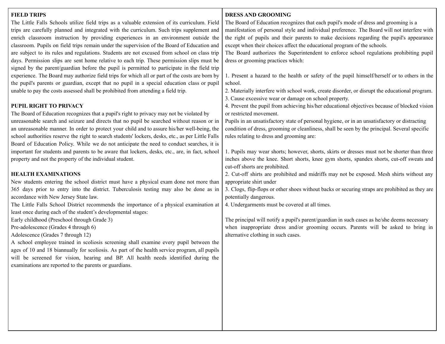#### **FIELD TRIPS**

The Little Falls Schools utilize field trips as a valuable extension of its curriculum. Field trips are carefully planned and integrated with the curriculum. Such trips supplement and enrich classroom instruction by providing experiences in an environment outside the classroom. Pupils on field trips remain under the supervision of the Board of Education and are subject to its rules and regulations. Students are not excused from school on class trip days. Permission slips are sent home relative to each trip. These permission slips must be signed by the parent/guardian before the pupil is permitted to participate in the field trip experience. The Board may authorize field trips for which all or part of the costs are born by the pupil's parents or guardian, except that no pupil in a special education class or pupil unable to pay the costs assessed shall be prohibited from attending a field trip.

# **PUPIL RIGHT TO PRIVACY**

The Board of Education recognizes that a pupil's right to privacy may not be violated by unreasonable search and seizure and directs that no pupil be searched without reason or in an unreasonable manner. In order to protect your child and to assure his/her well-being, the school authorities reserve the right to search students' lockers, desks, etc., as per Little Falls Board of Education Policy. While we do not anticipate the need to conduct searches, it is important for students and parents to be aware that lockers, desks, etc., are, in fact, school property and not the property of the individual student.

#### **HEALTH EXAMINATIONS**

New students entering the school district must have a physical exam done not more than 365 days prior to entry into the district. Tuberculosis testing may also be done as in accordance with New Jersey State law.

The Little Falls School District recommends the importance of a physical examination at least once during each of the student's developmental stages:

Early childhood (Preschool through Grade 3)

Pre-adolescence (Grades 4 through 6)

Adolescence (Grades 7 through 12)

A school employee trained in scoliosis screening shall examine every pupil between the ages of 10 and 18 biannually for scoliosis. As part of the health service program, all pupils will be screened for vision, hearing and BP. All health needs identified during the examinations are reported to the parents or guardians.

# **DRESS AND GROOMING**

The Board of Education recognizes that each pupil's mode of dress and grooming is a manifestation of personal style and individual preference. The Board will not interfere with the right of pupils and their parents to make decisions regarding the pupil's appearance except when their choices affect the educational program of the schools.

The Board authorizes the Superintendent to enforce school regulations prohibiting pupil dress or grooming practices which:

1. Present a hazard to the health or safety of the pupil himself/herself or to others in the school.

2. Materially interfere with school work, create disorder, or disrupt the educational program.

3. Cause excessive wear or damage on school property.

4. Prevent the pupil from achieving his/her educational objectives because of blocked vision or restricted movement.

Pupils in an unsatisfactory state of personal hygiene, or in an unsatisfactory or distracting condition of dress, grooming or cleanliness, shall be seen by the principal. Several specific rules relating to dress and grooming are:

1. Pupils may wear shorts; however, shorts, skirts or dresses must not be shorter than three inches above the knee. Short shorts, knee gym shorts, spandex shorts, cut-off sweats and cut-off shorts are prohibited.

2. Cut-off shirts are prohibited and midriffs may not be exposed. Mesh shirts without any appropriate shirt under

3. Clogs, flip-flops or other shoes without backs or securing straps are prohibited as they are potentially dangerous.

4. Undergarments must be covered at all times.

The principal will notify a pupil's parent/guardian in such cases as he/she deems necessary when inappropriate dress and/or grooming occurs. Parents will be asked to bring in alternative clothing in such cases.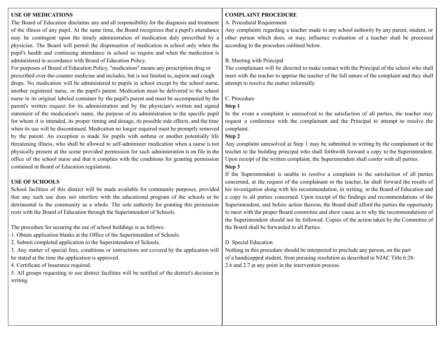### **USE OF MEDICATIONS**

The Board of Education disclaims any and all responsibility for the diagnosis and treatment of the illness of any pupil. At the same time, the Board recognizes that a pupil's attendance may be contingent upon the timely administration of medication duly prescribed by a physician. The Board will permit the dispensation of medication in school only when the pupil's health and continuing attendance in school so require and when the medication is administered in accordance with Board of Education Policy.

For purposes of Board of Education Policy, "medication" means any prescription drug or prescribed over-the-counter medicine and includes, but is not limited to, aspirin and cough drops. No medication will be administered to pupils in school except by the school nurse, another registered nurse, or the pupil's parent. Medication must be delivered to the school nurse in its original labeled container by the pupil's parent and must be accompanied by the parent's written request for its administration and by the physician's written and signed statement of the medication's name, the purpose of its administration to the specific pupil for whom it is intended, its proper timing and dosage, its possible side effects, and the time when its use will be discontinued. Medication no longer required must be promptly removed by the parent. An exception is made for pupils with asthma or another potentially life threatening illness, who shall be allowed to self-administer medication when a nurse is not physically present at the scene provided permission for such administration is on file in the office of the school nurse and that it complies with the conditions for granting permission contained in Board of Education regulations.

#### **USE OF SCHOOLS**

School facilities of this district will be made available for community purposes, provided that any such use does not interfere with the educational program of the schools or be detrimental to the community as a whole. The sole authority for granting this permission rests with the Board of Education through the Superintendent of Schools.

The procedure for securing the use of school buildings is as follows:

- 1. Obtain application blanks at the Office of the Superintendent of Schools.
- 2. Submit completed application to the Superintendent of Schools.
- 3. Any matter of special fees, conditions or instructions not covered by the application will be stated at the time the application is approved.

4. Certificate of Insurance required.

5. All groups requesting to use district facilities will be notified of the district's decision in writing.

#### **COMPLAINT PROCEDURE**

#### A. Procedural Requirement

Any complaints regarding a teacher made to any school authority by any parent, student, or other person which does, or may, influence evaluation of a teacher shall be processed according to the procedure outlined below.

#### B. Meeting with Principal

The complainant will be directed to make contact with the Principal of the school who shall meet with the teacher to apprise the teacher of the full nature of the complaint and they shall attempt to resolve the matter informally.

#### C. Procedure

#### **Step 1**

In the event a complaint is unresolved to the satisfaction of all parties, the teacher may request a conference with the complainant and the Principal to attempt to resolve the complaint.

#### **Step 2**

Any complaint unresolved at Step 1 may be submitted in writing by the complainant or the teacher to the building principal who shall forthwith forward a copy to the Superintendent. Upon receipt of the written complaint, the Superintendent shall confer with all parties.

#### **Step 3**

If the Superintendent is unable to resolve a complaint to the satisfaction of all parties concerned, at the request of the complainant or the teacher, he shall forward the results of his investigation along with his recommendation, in writing, to the Board of Education and a copy to all parties concerned. Upon receipt of the findings and recommendations of the Superintendent, and before action thereon, the Board shall afford the parties the opportunity to meet with the proper Board committee and show cause as to why the recommendations of the Superintendent should not be followed. Copies of the action taken by the Committee of the Board shall be forwarded to all Parties.

#### D. Special Education

Nothing in this procedure should be interpreted to preclude any person, on the part of a handicapped student, from pursuing resolution as described in NJAC Title 6:28- 2.6 and 2.7 at any point in the intervention process.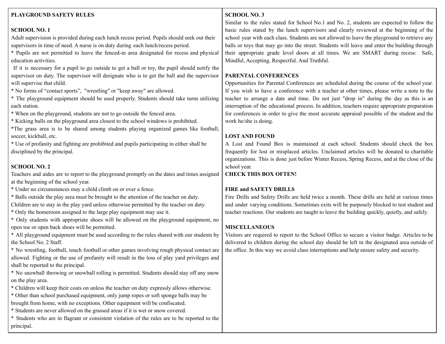# **PLAYGROUND SAFETY RULES**

# **SCHOOL NO. 1**

Adult supervision is provided during each lunch recess period. Pupils should seek out their supervisors in time of need. A nurse is on duty during each lunch/recess period.

\* Pupils are not permitted to leave the fenced-in area designated for recess and physical education activities.

If it is necessary for a pupil to go outside to get a ball or toy, the pupil should notify the supervisor on duty. The supervisor will designate who is to get the ball and the supervisor will supervise that child.

\* No forms of "contact sports", "wrestling" or "keep away" are allowed.

\* The playground equipment should be used properly. Students should take turns utilizing each station.

\* When on the playground, students are not to go outside the fenced area.

\* Kicking balls on the playground area closest to the school windows is prohibited.

\*The grass area is to be shared among students playing organized games like football, soccer, kickball, etc.

\* Use of profanity and fighting are prohibited and pupils participating in either shall be disciplined by the principal.

# **SCHOOL NO. 2**

Teachers and aides are to report to the playground promptly on the dates and times assigned at the beginning of the school year.

\* Under no circumstances may a child climb on or over a fence.

\* Balls outside the play area must be brought to the attention of the teacher on duty.

Children are to stay in the play yard unless otherwise permitted by the teacher on duty.

\* Only the homeroom assigned to the large play equipment may use it.

\* Only students with appropriate shoes will be allowed on the playground equipment, no open toe or open back shoes will be permitted.

\* All playground equipment must be used according to the rules shared with our students by the School No. 2 Staff.

\* No wrestling, football, touch football or other games involving rough physical contact are allowed. Fighting or the use of profanity will result in the loss of play yard privileges and shall be reported to the principal.

\* No snowball throwing or snowball rolling is permitted. Students should stay off any snow on the play area.

\* Children will keep their coats on unless the teacher on duty expressly allows otherwise.

\* Other than school purchased equipment, only jump ropes or soft sponge balls may be brought from home, with no exceptions. Other equipment will be confiscated.

\* Students are never allowed on the grassed areas if it is wet or snow covered.

\* Students who are in flagrant or consistent violation of the rules are to be reported to the principal.

# **SCHOOL NO. 3**

Similar to the rules stated for School No.1 and No. 2, students are expected to follow the basic rules stated by the lunch supervisors and clearly reviewed at the beginning of the school year with each class. Students are not allowed to leave the playground to retrieve any balls or toys that may go into the street. Students will leave and enter the building through their appropriate grade level doors at all times. We are SMART during recess: Safe, Mindful, Accepting, Respectful. And Truthful.

# **PARENTAL CONFERENCES**

Opportunities for Parental Conferences are scheduled during the course of the school year. If you wish to have a conference with a teacher at other times, please write a note to the teacher to arrange a date and time. Do not just "drop in" during the day as this is an interruption of the educational process. In addition, teachers require appropriate preparation for conferences in order to give the most accurate appraisal possible of the student and the work he/she is doing.

# **LOST AND FOUND**

A Lost and Found Box is maintained at each school. Students should check the box frequently for lost or misplaced articles. Unclaimed articles will be donated to charitable organizations. This is done just before Winter Recess, Spring Recess, and at the close of the school year.

# **CHECK THIS BOX OFTEN!**

# **FIRE and SAFETY DRILLS**

Fire Drills and Safety Drills are held twice a month. These drills are held at various times and under varying conditions. Sometimes exits will be purposely blocked to test student and teacher reactions. Our students are taught to leave the building quickly, quietly, and safely.

# **MISCELLANEOUS**

Visitors are required to report to the School Office to secure a visitor badge. Articles to be delivered to children during the school day should be left in the designated area outside of the office. In this way we avoid class interruptions and help ensure safety and security.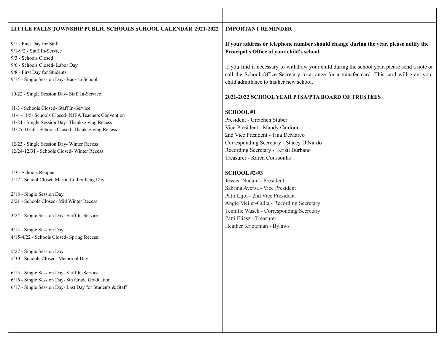#### **LITTLE FALLS TOWNSHIP PUBLIC SCHOOLS SCHOOL CALENDAR 2021-2022 IMPORTANT REMINDER**

9/1 - First Day for Staff 9/1-9/2 - Staff In-Service 9/3 - Schools Closed 9/6 - Schools Closed- Labor Day 9/8 - First Day for Students 9/14 - Single Session Day- Back to School

10/22 - Single Session Day- Staff In-Service

11/3 - Schools Closed- Staff In-Service 11/4 -11/5- Schools Closed- NJEA Teachers Convention 11/24 - Single Session Day- Thanksgiving Recess 11/25-11/26 - Schools Closed- Thanksgiving Recess

12/23 - Single Session Day- Winter Recess 12/24-12/31 - Schools Closed- Winter Recess

1/3 - Schools Reopen 1/17 - School Closed Martin Luther King Day

2/18 - Single Session Day 2/21 - Schools Closed- Mid Winter Recess

3/24 - Single Session Day- Staff In-Service

4/14 - Single Session Day 4/15-4/22 - Schools Closed- Spring Recess

5/27 - Single Session Day 5/30 - Schools Closed- Memorial Day

6/15 - Single Session Day- Staff In-Service 6/16 - Single Session Day- 8th Grade Graduation 6/17 - Single Session Day- Last Day for Students & Staff **If your address or telephone number should change during the year, please notify the Principal's Office of your child's school.**

If you find it necessary to withdraw your child during the school year, please send a note or call the School Office Secretary to arrange for a transfer card. This card will grant your child admittance to his/her new school.

#### **2021-2022 SCHOOL YEAR PTSA/PTA BOARD OF TRUSTEES**

**SCHOOL #1**

President - Gretchen Stuber Vice-President - Mandy Canfora 2nd Vice President - Tina DeMarco Corresponding Secretary - Stacey DiNardo Recording Secretary - Kristi Burbano Treasurer - Karen Coussoulis

**SCHOOL #2/#3**

Jessica Nucum - President Sabrina Aversa - Vice President Patti Lijoi - 2nd Vice President Angie Meijer-Gulla - Recording Secretary Tennille Wasek - Corresponding Secretary Patti Eliasz - Treasurer Heather Krietzman - Bylaws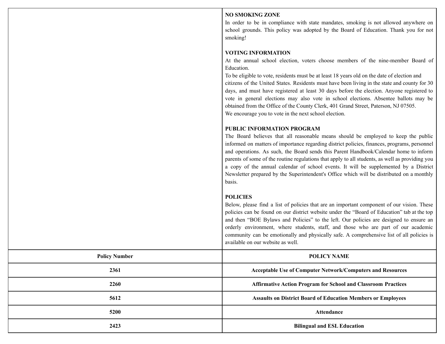#### **NO SMOKING ZONE**

In order to be in compliance with state mandates, smoking is not allowed anywhere on school grounds. This policy was adopted by the Board of Education. Thank you for not smoking!

## **VOTING INFORMATION**

At the annual school election, voters choose members of the nine-member Board of Education.

To be eligible to vote, residents must be at least 18 years old on the date of election and citizens of the United States. Residents must have been living in the state and county for 30 days, and must have registered at least 30 days before the election. Anyone registered to vote in general elections may also vote in school elections. Absentee ballots may be obtained from the Office of the County Clerk, 401 Grand Street, Paterson, NJ 07505. We encourage you to vote in the next school election.

# **PUBLIC INFORMATION PROGRAM**

The Board believes that all reasonable means should be employed to keep the public informed on matters of importance regarding district policies, finances, programs, personnel and operations. As such, the Board sends this Parent Handbook/Calendar home to inform parents of some of the routine regulations that apply to all students, as well as providing you a copy of the annual calendar of school events. It will be supplemented by a District Newsletter prepared by the Superintendent's Office which will be distributed on a monthly basis.

# **POLICIES**

Below, please find a list of policies that are an important component of our vision. These policies can be found on our district website under the "Board of Education" tab at the top and then "BOE Bylaws and Policies" to the left. Our policies are designed to ensure an orderly environment, where students, staff, and those who are part of our academic community can be emotionally and physically safe. A comprehensive list of all policies is available on our website as well.

| <b>Policy Number</b> | <b>POLICY NAME</b>                                                   |
|----------------------|----------------------------------------------------------------------|
| 2361                 | Acceptable Use of Computer Network/Computers and Resources           |
| 2260                 | <b>Affirmative Action Program for School and Classroom Practices</b> |
| 5612                 | <b>Assaults on District Board of Education Members or Employees</b>  |
| 5200                 | <b>Attendance</b>                                                    |
| 2423                 | <b>Bilingual and ESL Education</b>                                   |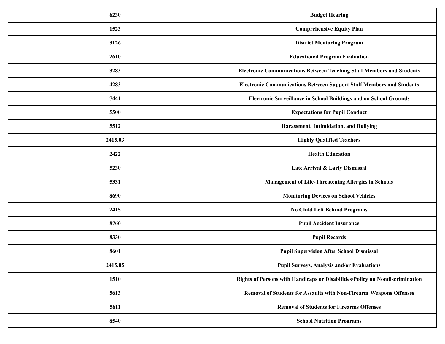| 6230    | <b>Budget Hearing</b>                                                        |
|---------|------------------------------------------------------------------------------|
| 1523    | <b>Comprehensive Equity Plan</b>                                             |
| 3126    | <b>District Mentoring Program</b>                                            |
| 2610    | <b>Educational Program Evaluation</b>                                        |
| 3283    | <b>Electronic Communications Between Teaching Staff Members and Students</b> |
| 4283    | <b>Electronic Communications Between Support Staff Members and Students</b>  |
| 7441    | Electronic Surveillance in School Buildings and on School Grounds            |
| 5500    | <b>Expectations for Pupil Conduct</b>                                        |
| 5512    | Harassment, Intimidation, and Bullying                                       |
| 2415.03 | <b>Highly Qualified Teachers</b>                                             |
| 2422    | <b>Health Education</b>                                                      |
| 5230    | Late Arrival & Early Dismissal                                               |
| 5331    | <b>Management of Life-Threatening Allergies in Schools</b>                   |
| 8690    | <b>Monitoring Devices on School Vehicles</b>                                 |
| 2415    | <b>No Child Left Behind Programs</b>                                         |
| 8760    | <b>Pupil Accident Insurance</b>                                              |
| 8330    | <b>Pupil Records</b>                                                         |
| 8601    | <b>Pupil Supervision After School Dismissal</b>                              |
| 2415.05 | <b>Pupil Surveys, Analysis and/or Evaluations</b>                            |
| 1510    | Rights of Persons with Handicaps or Disabilities/Policy on Nondiscrimination |
| 5613    | Removal of Students for Assaults with Non-Firearm Weapons Offenses           |
| 5611    | <b>Removal of Students for Firearms Offenses</b>                             |
| 8540    | <b>School Nutrition Programs</b>                                             |